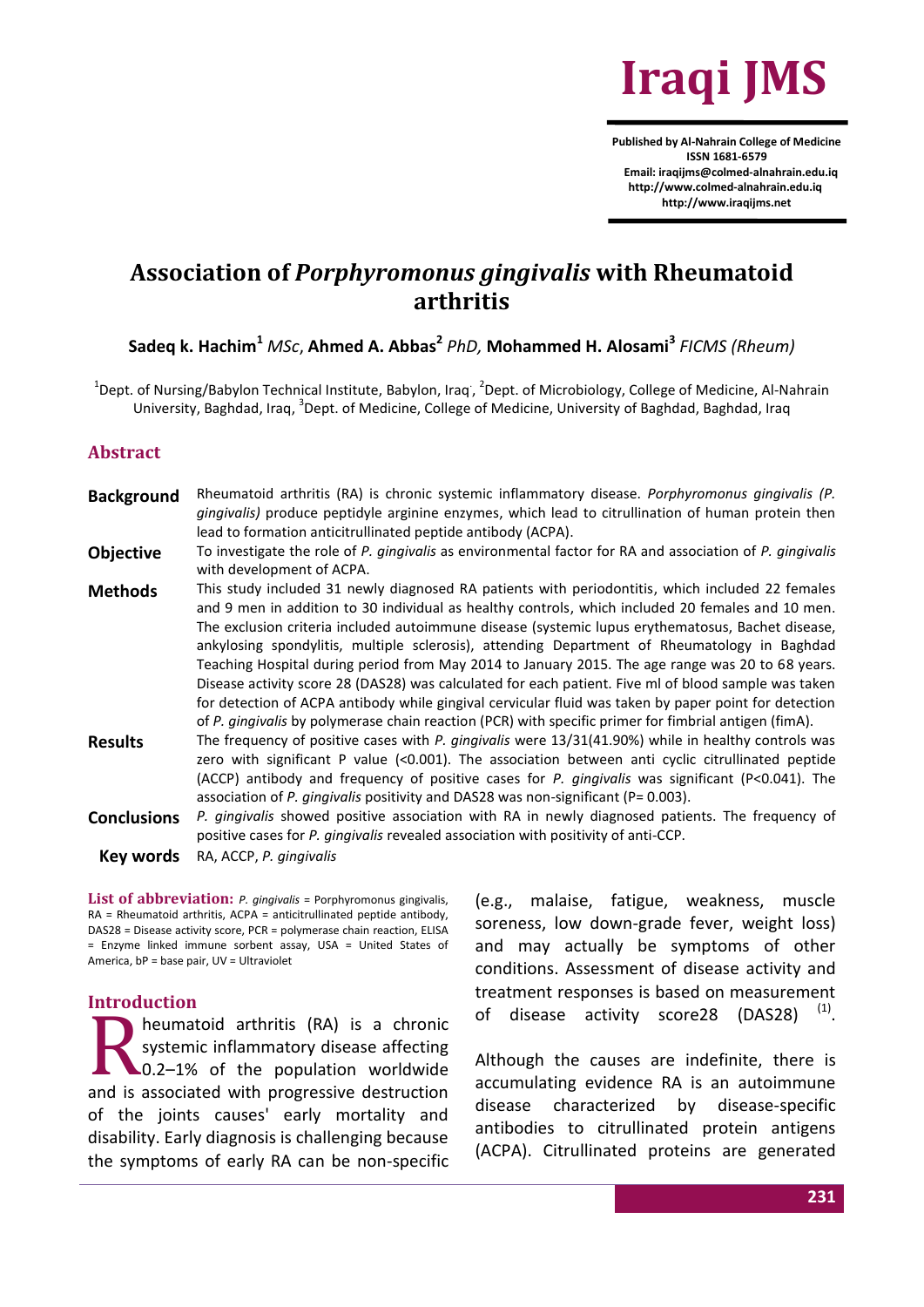

**Published by Al-Nahrain College of Medicine ISSN 1681-6579 Email: iraqijms@colmed-alnahrain.edu.iq http://www.colmed-alnahrain.edu.iq [http://www.iraqijms.net](http://www.iraqijms.net/)**

# **Association of** *Porphyromonus gingivalis* **with Rheumatoid arthritis**

**Sadeq k. Hachim<sup>1</sup>** *MSc*, **Ahmed A. Abbas<sup>2</sup>** *PhD,* **Mohammed H. Alosami<sup>3</sup>** *FICMS (Rheum)*

<sup>1</sup>Dept. of Nursing/Babylon Technical Institute, Babylon, Iraq<sup>'</sup>, <sup>2</sup>Dept. of Microbiology, College of Medicine, Al-Nahrain University, Baghdad, Iraq, <sup>3</sup>Dept. of Medicine, College of Medicine, University of Baghdad, Baghdad, Iraq

#### **Abstract**

- **Background** Rheumatoid arthritis (RA) is chronic systemic inflammatory disease. *Porphyromonus gingivalis (P. gingivalis)* produce peptidyle arginine enzymes, which lead to citrullination of human protein then lead to formation anticitrullinated peptide antibody (ACPA).
- **Objective** To investigate the role of *P. gingivalis* as environmental factor for RA and association of *P. gingivalis* with development of ACPA.
- Methods This study included 31 newly diagnosed RA patients with periodontitis, which included 22 females and 9 men in addition to 30 individual as healthy controls, which included 20 females and 10 men. The exclusion criteria included autoimmune disease (systemic lupus erythematosus, Bachet disease, ankylosing spondylitis, multiple sclerosis), attending Department of Rheumatology in Baghdad Teaching Hospital during period from May 2014 to January 2015. The age range was 20 to 68 years. Disease activity score 28 (DAS28) was calculated for each patient. Five ml of blood sample was taken for detection of ACPA antibody while gingival cervicular fluid was taken by paper point for detection of *P. gingivalis* by polymerase chain reaction (PCR) with specific primer for fimbrial antigen (fimA).
- **Results** The frequency of positive cases with *P. gingivalis* were 13/31(41.90%) while in healthy controls was zero with significant P value (<0.001). The association between anti cyclic citrullinated peptide (ACCP) antibody and frequency of positive cases for *P. gingivalis* was significant (P<0.041). The association of *P. gingivalis* positivity and DAS28 was non-significant (P= 0.003).
- **Conclusions** *P. gingivalis* showed positive association with RA in newly diagnosed patients. The frequency of positive cases for *P. gingivalis* revealed association with positivity of anti-CCP.
	- **Key words** RA, ACCP, *P. gingivalis*

**List of abbreviation:** *P. gingivalis* = Porphyromonus gingivalis, RA = Rheumatoid arthritis, ACPA = anticitrullinated peptide antibody, DAS28 = Disease activity score, PCR = polymerase chain reaction, ELISA = Enzyme linked immune sorbent assay, USA = United States of America, bP = base pair, UV = Ultraviolet

#### **Introduction**

heumatoid arthritis (RA) is a chronic systemic inflammatory disease affecting 0.2–1% of the population worldwide and is associated with progressive destruction of the joints causes' early mortality and disability. Early diagnosis is challenging because the symptoms of early RA can be non-specific R

(e.g., malaise, fatigue, weakness, muscle soreness, low down-grade fever, weight loss) and may actually be symptoms of other conditions. Assessment of disease activity and treatment responses is based on measurement of disease activity score 28 (DAS28)  $<sup>(1)</sup>$ .</sup>

Although the causes are indefinite, there is accumulating evidence RA is an autoimmune disease characterized by disease-specific antibodies to citrullinated protein antigens (ACPA). Citrullinated proteins are generated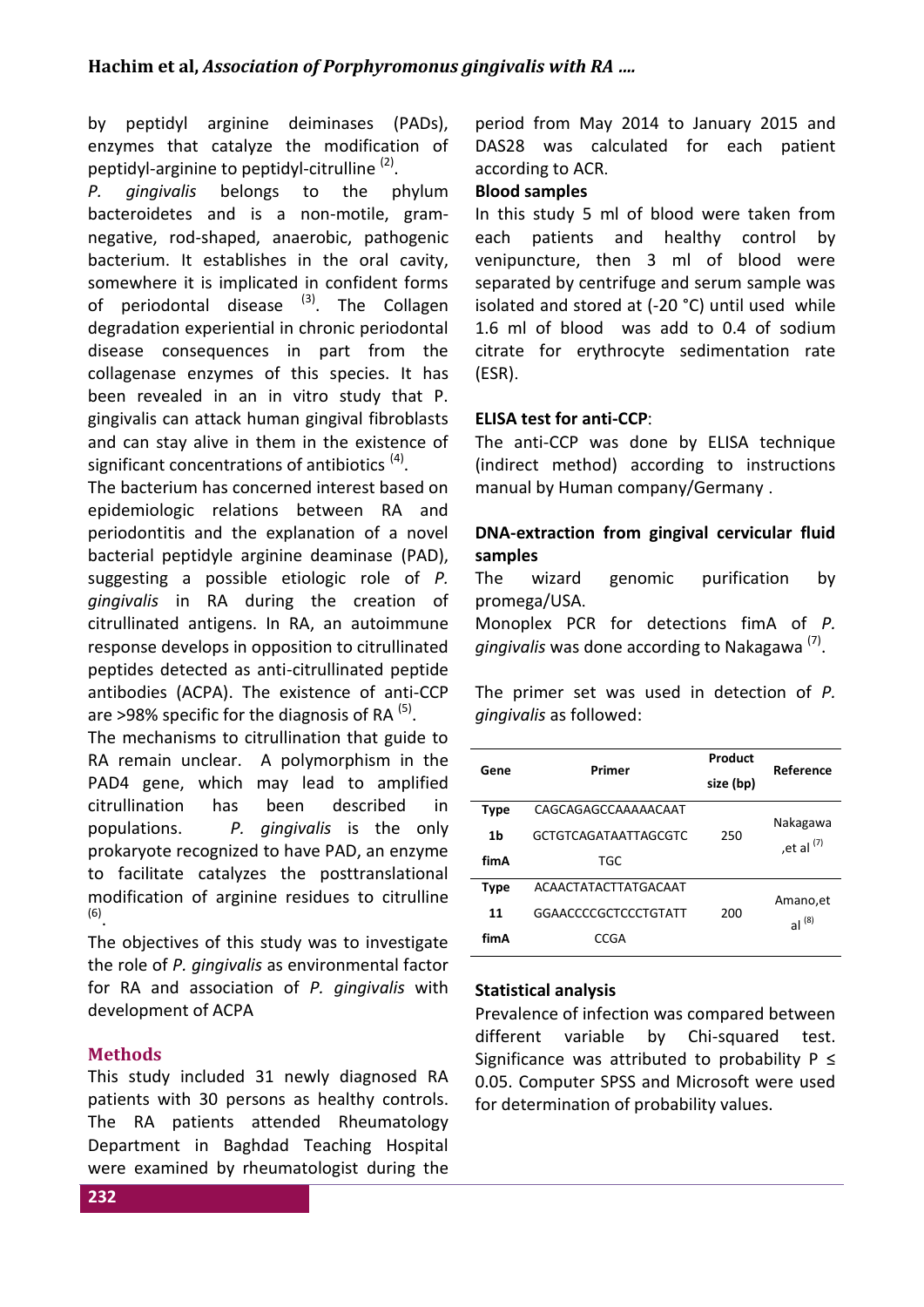by peptidyl arginine deiminases (PADs), enzymes that catalyze the modification of peptidyl-arginine to peptidyl-citrulline<sup>(2)</sup>.

*P. gingivalis* belongs to the phylum bacteroidetes and is a non-motile, gramnegative, rod-shaped, anaerobic, pathogenic bacterium. It establishes in the oral cavity, somewhere it is implicated in confident forms of periodontal disease  $(3)$ . The Collagen degradation experiential in chronic periodontal disease consequences in part from the collagenase enzymes of this species. It has been revealed in an in vitro study that P. gingivalis can attack human gingival fibroblasts and can stay alive in them in the existence of significant concentrations of antibiotics<sup>(4)</sup>.

The bacterium has concerned interest based on epidemiologic relations between RA and periodontitis and the explanation of a novel bacterial peptidyle arginine deaminase (PAD), suggesting a possible etiologic role of *P. gingivalis* in RA during the creation of citrullinated antigens. In RA, an autoimmune response develops in opposition to citrullinated peptides detected as anti-citrullinated peptide antibodies (ACPA). The existence of anti-CCP are >98% specific for the diagnosis of RA  $(5)$ .

The mechanisms to citrullination that guide to RA remain unclear. A polymorphism in the PAD4 gene, which may lead to amplified citrullination has been described in populations. *P. gingivalis* is the only prokaryote recognized to have PAD, an enzyme to facilitate catalyzes the posttranslational modification of arginine residues to citrulline (6) .

The objectives of this study was to investigate the role of *P. gingivalis* as environmental factor for RA and association of *P. gingivalis* with development of ACPA

# **Methods**

This study included 31 newly diagnosed RA patients with 30 persons as healthy controls. The RA patients attended Rheumatology Department in Baghdad Teaching Hospital were examined by rheumatologist during the period from May 2014 to January 2015 and DAS28 was calculated for each patient according to ACR.

#### **Blood samples**

In this study 5 ml of blood were taken from each patients and healthy control by venipuncture, then 3 ml of blood were separated by centrifuge and serum sample was isolated and stored at (-20 °C) until used while 1.6 ml of blood was add to 0.4 of sodium citrate for erythrocyte sedimentation rate (ESR).

#### **ELISA test for anti-CCP**:

The anti-CCP was done by ELISA technique (indirect method) according to instructions manual by Human company/Germany .

## **DNA-extraction from gingival cervicular fluid samples**

The wizard genomic purification by promega/USA.

Monoplex PCR for detections fimA of *P.*  gingivalis was done according to Nakagawa<sup>(7)</sup>.

The primer set was used in detection of *P. gingivalis* as followed:

| Gene        | Primer                      | Product<br>size (bp) | Reference     |  |
|-------------|-----------------------------|----------------------|---------------|--|
| <b>Type</b> | CAGCAGAGCCAAAAACAAT         |                      | Nakagawa      |  |
| 1b          | <b>GCTGTCAGATAATTAGCGTC</b> | 250                  |               |  |
| fimA        | TGC                         |                      | , et al $(7)$ |  |
| Type        | ACAACTATACTTATGACAAT        |                      | Amano, et     |  |
| 11          | GGAACCCCGCTCCCTGTATT        | 200                  | al $(8)$      |  |
| fimA        | CCGA                        |                      |               |  |

#### **Statistical analysis**

Prevalence of infection was compared between different variable by Chi-squared test. Significance was attributed to probability  $P \leq$ 0.05. Computer SPSS and Microsoft were used for determination of probability values.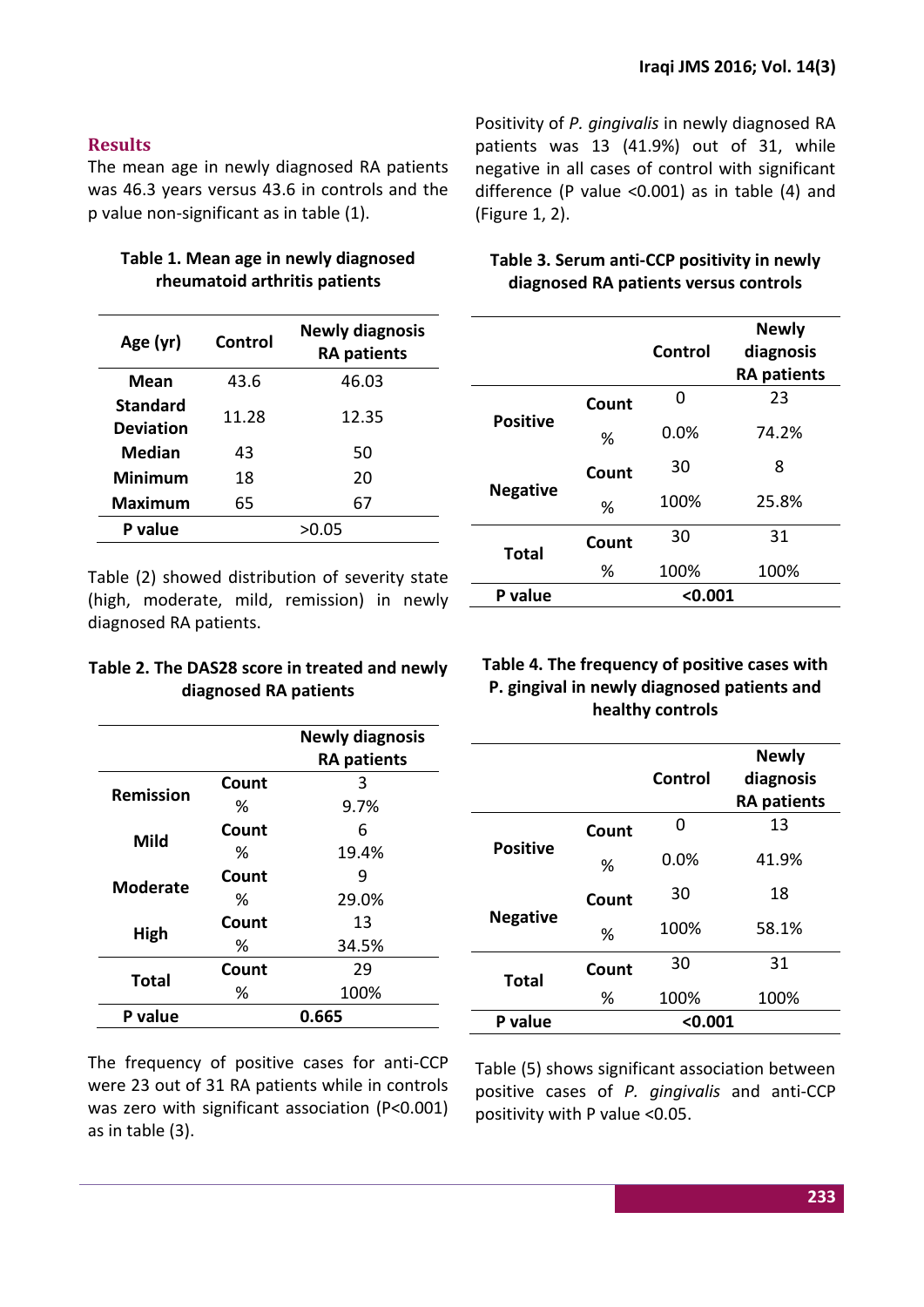## **Results**

The mean age in newly diagnosed RA patients was 46.3 years versus 43.6 in controls and the p value non-significant as in table (1).

## **Table 1. Mean age in newly diagnosed rheumatoid arthritis patients**

| Age (yr)                            | Control | <b>Newly diagnosis</b><br><b>RA patients</b> |
|-------------------------------------|---------|----------------------------------------------|
| <b>Mean</b>                         | 43.6    | 46.03                                        |
| <b>Standard</b><br><b>Deviation</b> | 11.28   | 12.35                                        |
| Median                              | 43      | 50                                           |
| Minimum                             | 18      | 20                                           |
| Maximum                             | 65      | 67                                           |
| P value                             |         | >0.05                                        |

Table (2) showed distribution of severity state (high, moderate, mild, remission) in newly diagnosed RA patients.

#### **Table 2. The DAS28 score in treated and newly diagnosed RA patients**

|                  |       | <b>Newly diagnosis</b> |  |
|------------------|-------|------------------------|--|
|                  |       | <b>RA patients</b>     |  |
| <b>Remission</b> | Count | 3                      |  |
|                  | ℅     | 9.7%                   |  |
| Mild             | Count | 6                      |  |
|                  | ℅     | 19.4%                  |  |
| <b>Moderate</b>  | Count | q                      |  |
|                  | ℅     | 29.0%                  |  |
|                  | Count | 13                     |  |
| High             | ℅     | 34.5%                  |  |
|                  | Count | 29                     |  |
| <b>Total</b>     | ℅     | 100%                   |  |
| P value          | 0.665 |                        |  |

The frequency of positive cases for anti-CCP were 23 out of 31 RA patients while in controls was zero with significant association (P<0.001) as in table (3).

Positivity of *P. gingivalis* in newly diagnosed RA patients was 13 (41.9%) out of 31, while negative in all cases of control with significant difference (P value ˂0.001) as in table (4) and (Figure 1, 2).

# **Table 3. Serum anti-CCP positivity in newly diagnosed RA patients versus controls**

|                 |         | Control | <b>Newly</b><br>diagnosis<br><b>RA patients</b> |
|-----------------|---------|---------|-------------------------------------------------|
|                 | Count   | ი       | 23                                              |
| <b>Positive</b> | %       | 0.0%    | 74.2%                                           |
|                 | Count   | 30      | 8                                               |
| <b>Negative</b> | %       | 100%    | 25.8%                                           |
| <b>Total</b>    | Count   | 30      | 31                                              |
|                 | %       | 100%    | 100%                                            |
| P value         | < 0.001 |         |                                                 |

## **Table 4. The frequency of positive cases with P. gingival in newly diagnosed patients and healthy controls**

|                 |         | Control | <b>Newly</b><br>diagnosis<br><b>RA patients</b> |
|-----------------|---------|---------|-------------------------------------------------|
|                 | Count   | O       | 13                                              |
| <b>Positive</b> | %       | 0.0%    | 41.9%                                           |
|                 | Count   | 30      | 18                                              |
| <b>Negative</b> | %       | 100%    | 58.1%                                           |
| Total           | Count   | 30      | 31                                              |
|                 | %       | 100%    | 100%                                            |
| P value         | < 0.001 |         |                                                 |

Table (5) shows significant association between positive cases of *P. gingivalis* and anti-CCP positivity with P value <0.05.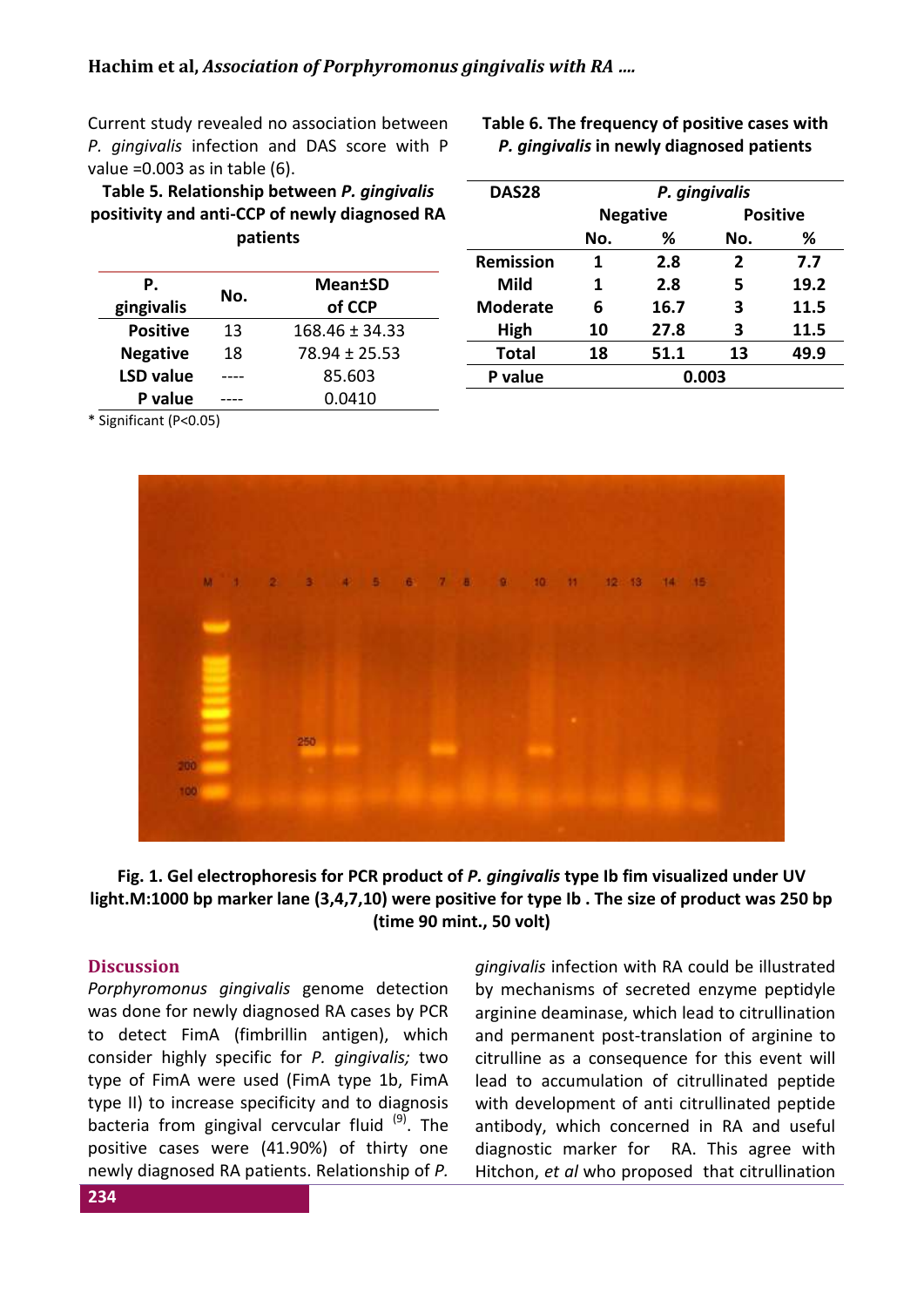Current study revealed no association between *P. gingivalis* infection and DAS score with P value =  $0.003$  as in table  $(6)$ .

**Table 5. Relationship between** *P. gingivalis* **positivity and anti-CCP of newly diagnosed RA patients**

| Р.<br>gingivalis | No. | <b>Mean±SD</b><br>of CCP |
|------------------|-----|--------------------------|
| <b>Positive</b>  | 13  | $168.46 \pm 34.33$       |
| <b>Negative</b>  | 18  | $78.94 + 25.53$          |
| <b>LSD value</b> |     | 85.603                   |
| P value          |     | 0.0410                   |

**Table 6. The frequency of positive cases with**  *P. gingivalis* **in newly diagnosed patients** 

| DAS28            | P. gingivalis   |      |              |                 |
|------------------|-----------------|------|--------------|-----------------|
|                  | <b>Negative</b> |      |              | <b>Positive</b> |
|                  | No.             | ℅    | No.          | ℅               |
| <b>Remission</b> | 1               | 2.8  | $\mathbf{2}$ | 7.7             |
| Mild             | 1               | 2.8  | 5            | 19.2            |
| <b>Moderate</b>  | 6               | 16.7 | 3            | 11.5            |
| High             | 10              | 27.8 | 3            | 11.5            |
| <b>Total</b>     | 18              | 51.1 | 13           | 49.9            |
| P value          | 0.003           |      |              |                 |

\* Significant (P<0.05)



### **Fig. 1. Gel electrophoresis for PCR product of** *P. gingivalis* **type Ib fim visualized under UV light.M:1000 bp marker lane (3,4,7,10) were positive for type Ib . The size of product was 250 bp (time 90 mint., 50 volt)**

#### **Discussion**

*Porphyromonus gingivalis* genome detection was done for newly diagnosed RA cases by PCR to detect FimA (fimbrillin antigen), which consider highly specific for *P. gingivalis;* two type of FimA were used (FimA type 1b, FimA type II) to increase specificity and to diagnosis bacteria from gingival cervcular fluid  $(9)$ . The positive cases were (41.90%) of thirty one newly diagnosed RA patients. Relationship of *P.*  *gingivalis* infection with RA could be illustrated by mechanisms of secreted enzyme peptidyle arginine deaminase, which lead to citrullination and permanent post-translation of arginine to citrulline as a consequence for this event will lead to accumulation of citrullinated peptide with development of anti citrullinated peptide antibody, which concerned in RA and useful diagnostic marker for RA. This agree with Hitchon, *et al* who proposed that citrullination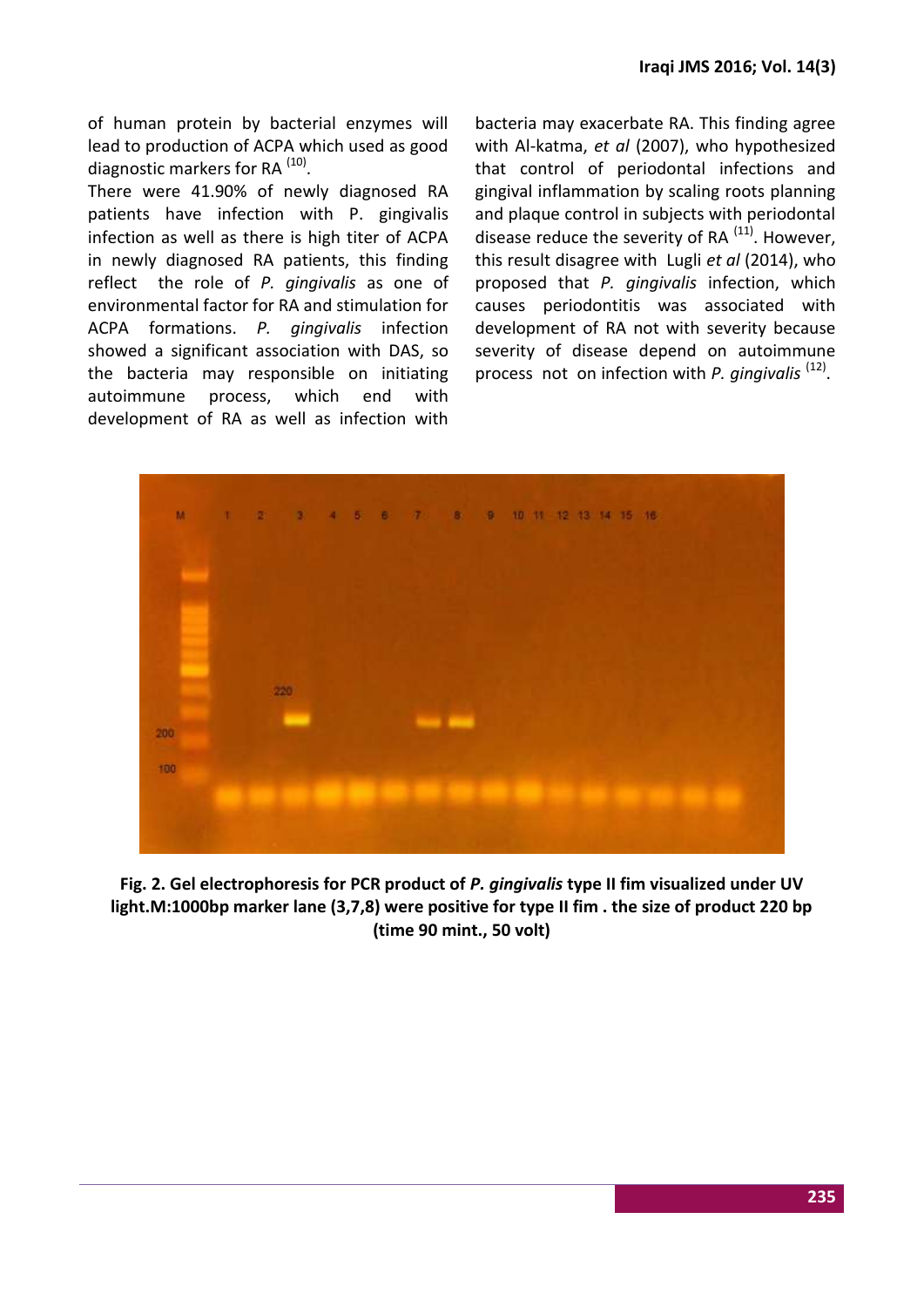of human protein by bacterial enzymes will lead to production of ACPA which used as good diagnostic markers for RA<sup>(10)</sup>.

There were 41.90% of newly diagnosed RA patients have infection with P. gingivalis infection as well as there is high titer of ACPA in newly diagnosed RA patients, this finding reflect the role of *P. gingivalis* as one of environmental factor for RA and stimulation for ACPA formations. *P. gingivalis* infection showed a significant association with DAS, so the bacteria may responsible on initiating autoimmune process, which end with development of RA as well as infection with bacteria may exacerbate RA. This finding agree with Al-katma, *et al* (2007), who hypothesized that control of periodontal infections and gingival inflammation by scaling roots planning and plaque control in subjects with periodontal disease reduce the severity of RA $^{(11)}$ . However, this result disagree with Lugli *et al* (2014), who proposed that *P. gingivalis* infection, which causes periodontitis was associated with development of RA not with severity because severity of disease depend on autoimmune process not on infection with *P. gingivalis*<sup>(12)</sup>.



**Fig. 2. Gel electrophoresis for PCR product of** *P. gingivalis* **type II fim visualized under UV light.M:1000bp marker lane (3,7,8) were positive for type II fim . the size of product 220 bp (time 90 mint., 50 volt)**